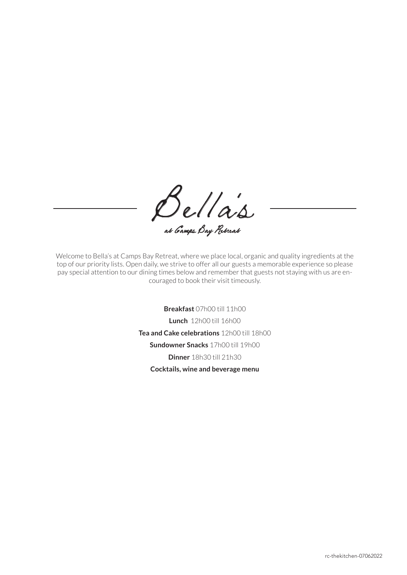Bella's at Camps Bay Retreat

Welcome to Bella's at Camps Bay Retreat, where we place local, organic and quality ingredients at the top of our priority lists. Open daily, we strive to offer all our guests a memorable experience so please pay special attention to our dining times below and remember that guests not staying with us are encouraged to book their visit timeously.

**Breakfast** 07h00 till 11h00

**Lunch** 12h00 till 16h00

**Tea and Cake celebrations** 12h00 till 18h00

**Sundowner Snacks** 17h00 till 19h00

**Dinner** 18h30 till 21h30

**Cocktails, wine and beverage menu**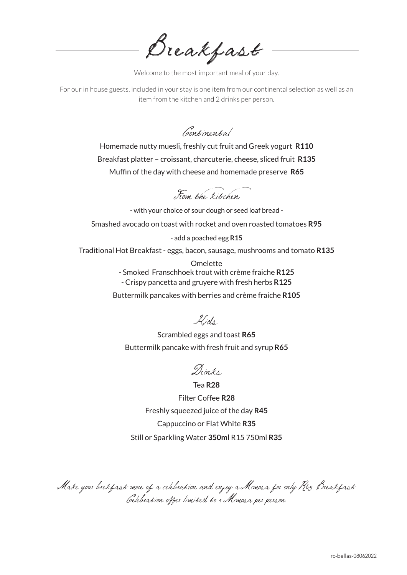Breakfast

Welcome to the most important meal of your day.

For our in house guests, included in your stay is one item from our continental selection as well as an item from the kitchen and 2 drinks per person.

Continental

Homemade nutty muesli, freshly cut fruit and Greek yogurt **R110** Breakfast platter – croissant, charcuterie, cheese, sliced fruit **R135** Muffin of the day with cheese and homemade preserve **R65**

From the kitchen

- with your choice of sour dough or seed loaf bread -

Smashed avocado on toast with rocket and oven roasted tomatoes **R95**

- add a poached egg **R15**

Traditional Hot Breakfast - eggs, bacon, sausage, mushrooms and tomato **R135**

**Omelette** - Smoked Franschhoek trout with crème fraiche **R125** - Crispy pancetta and gruyere with fresh herbs **R125** Buttermilk pancakes with berries and crème fraiche **R105**

Kids

Scrambled eggs and toast **R65** Buttermilk pancake with fresh fruit and syrup **R65**

Drinks

Tea **R28** Filter Coffee **R28** Freshly squeezed juice of the day **R45** Cappuccino or Flat White **R35** Still or Sparkling Water **350ml** R15 750ml **R35**

Make your brekfast more of a celebration and enjoy a Mimosa for only R65. Breakfast Celebration offer limited to 1 Mimosa per person.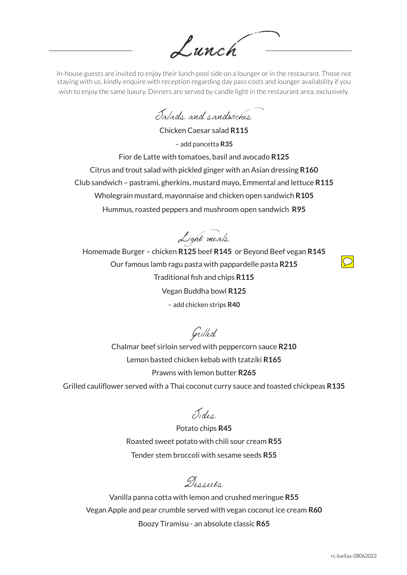Lunch

In-house guests are invited to enjoy their lunch pool side on a lounger or in the restaurant. Those not staying with us, kindly enquire with reception regarding day pass costs and lounger availability if you wish to enjoy the same luxury. Dinners are served by candle light in the restaurant area, exclusively.

Salads and sandwiches

Chicken Caesar salad **R115** – add pancetta **R35** Fior de Latte with tomatoes, basil and avocado **R125** Citrus and trout salad with pickled ginger with an Asian dressing **R160** Club sandwich – pastrami, gherkins, mustard mayo, Emmental and lettuce **R115** Wholegrain mustard, mayonnaise and chicken open sandwich **R105** Hummus, roasted peppers and mushroom open sandwich **R95**

Light meals

Homemade Burger – chicken **R125** beef **R145** or Beyond Beef vegan **R145** Our famous lamb ragu pasta with pappardelle pasta **R215** Traditional fish and chips **R115** Vegan Buddha bowl **R125** – add chicken strips **R40**

Grilled

Chalmar beef sirloin served with peppercorn sauce **R210** Lemon basted chicken kebab with tzatziki **R165** Prawns with lemon butter **R265**

Grilled cauliflower served with a Thai coconut curry sauce and toasted chickpeas **R135**

Sides

Potato chips **R45** Roasted sweet potato with chili sour cream **R55** Tender stem broccoli with sesame seeds **R55**

Desserts

Vanilla panna cotta with lemon and crushed meringue **R55** Vegan Apple and pear crumble served with vegan coconut ice cream **R60** Boozy Tiramisu - an absolute classic **R65**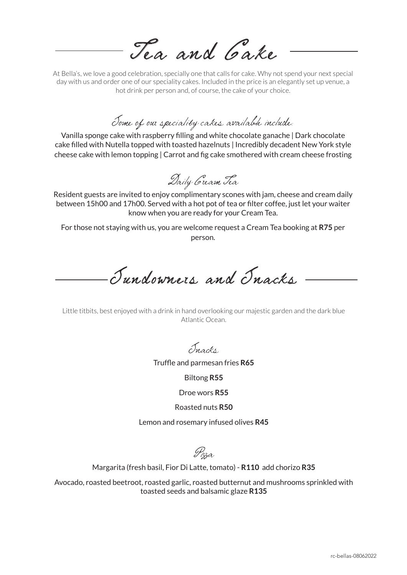Tea and Cake

At Bella's, we love a good celebration, specially one that calls for cake. Why not spend your next special day with us and order one of our speciality cakes. Included in the price is an elegantly set up venue, a hot drink per person and, of course, the cake of your choice.

Some of our speciality cakes available include:

Vanilla sponge cake with raspberry filling and white chocolate ganache | Dark chocolate cake filled with Nutella topped with toasted hazelnuts | Incredibly decadent New York style cheese cake with lemon topping | Carrot and fig cake smothered with cream cheese frosting

Daily Cream Tea

Resident guests are invited to enjoy complimentary scones with jam, cheese and cream daily between 15h00 and 17h00. Served with a hot pot of tea or filter coffee, just let your waiter know when you are ready for your Cream Tea.

For those not staying with us, you are welcome request a Cream Tea booking at **R75** per person.

Sundowners and Snacks

Little titbits, best enjoyed with a drink in hand overlooking our majestic garden and the dark blue Atlantic Ocean.

Snacks

Truffle and parmesan fries **R65**

Biltong **R55**

Droe wors **R55**

Roasted nuts **R50**

Lemon and rosemary infused olives **R45**

Pizza

Margarita (fresh basil, Fior Di Latte, tomato) - **R110** add chorizo **R35**

Avocado, roasted beetroot, roasted garlic, roasted butternut and mushrooms sprinkled with toasted seeds and balsamic glaze **R135**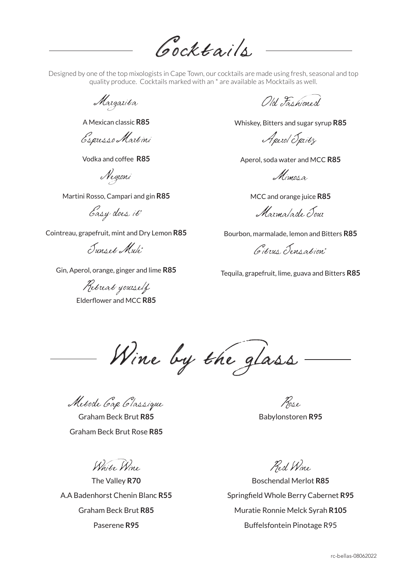Cocktails

Designed by one of the top mixologists in Cape Town, our cocktails are made using fresh, seasonal and top quality produce. Cocktails marked with an \* are available as Mocktails as well.

Margarita

A Mexican classic **R85**

Espresso Martini

Vodka and coffee **R85**

Negroni

Martini Rosso, Campari and gin **R85**

Easy does it\*

Cointreau, grapefruit, mint and Dry Lemon **R85**

Sunset Mule\*

Gin, Aperol, orange, ginger and lime **R85**

Retreat yourself Elderflower and MCC **R85**

Old Fashimed

Whiskey, Bitters and sugar syrup **R85**

Aperol Spritz

Aperol, soda water and MCC **R85**

Mimosa.

MCC and orange juice **R85**

Marmalade Sour

Bourbon, marmalade, lemon and Bitters **R85**

Citrus Sensation\*

Tequila, grapefruit, lime, guava and Bitters **R85**

Wine by the glass

Metode Cap Classique

Graham Beck Brut **R85** Graham Beck Brut Rose **R85**

White Wine

The Valley **R70** A.A Badenhorst Chenin Blanc **R55** Graham Beck Brut **R85** Paserene **R95**

Rose Babylonstoren **R95**

Red Wine

Boschendal Merlot **R85** Springfield Whole Berry Cabernet **R95** Muratie Ronnie Melck Syrah **R105** Buffelsfontein Pinotage R95

rc-bellas-08062022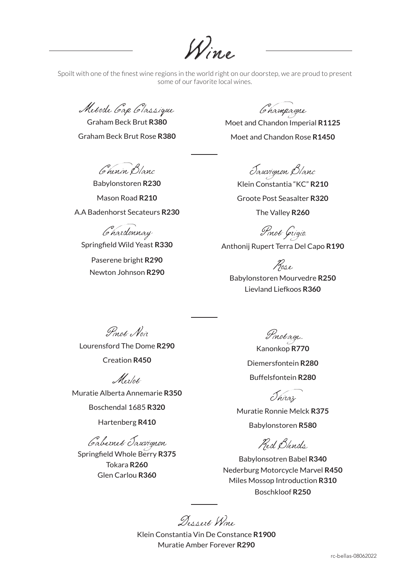Wine

Spoilt with one of the finest wine regions in the world right on our doorstep, we are proud to present some of our favorite local wines.

Metode Cap Classique

Graham Beck Brut **R380** Graham Beck Brut Rose **R380**

Chenin Blanc

Babylonstoren **R230** Mason Road **R210** A.A Badenhorst Secateurs **R230**

Chardonnay

Springfield Wild Yeast **R330** Paserene bright **R290** Newton Johnson **R290**

Champagne

Moet and Chandon Imperial **R1125** Moet and Chandon Rose **R1450**

Sauvignon Blanc

Klein Constantia "KC" **R210** Groote Post Seasalter **R320** The Valley **R260**

Pinot Grigio

Anthonij Rupert Terra Del Capo **R190**

Rose

Babylonstoren Mourvedre **R250** Lievland Liefkoos **R360**

Pinot Noir

Lourensford The Dome **R290** Creation **R450**

Merlot

Muratie Alberta Annemarie **R350** Boschendal 1685 **R320**

Hartenberg **R410**

Cabernet Sauvignon

Springfield Whole Berry **R375** Tokara **R260** Glen Carlou **R360**

Pinotage

Kanonkop **R770** Diemersfontein **R280** Buffelsfontein **R280**

Shiraz

Muratie Ronnie Melck **R375** Babylonstoren **R580** 

Red Blends

Babylonsotren Babel **R340** Nederburg Motorcycle Marvel **R450** Miles Mossop Introduction **R310** Boschkloof **R250**

Dessert Wine

Klein Constantia Vin De Constance **R1900** Muratie Amber Forever **R290**